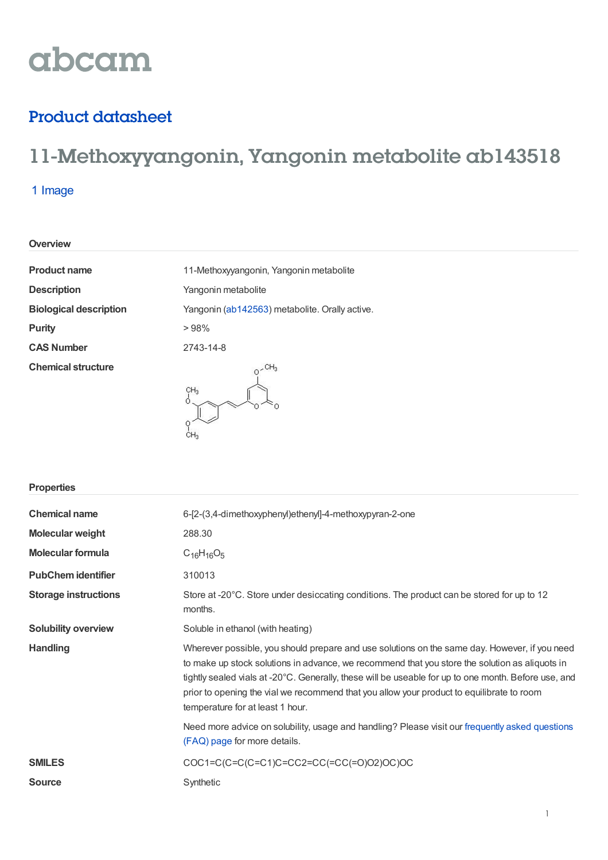# abcam

## Product datasheet

## 11-Methoxyyangonin, Yangonin metabolite ab143518

### 1 Image

| <b>Overview</b> |  |
|-----------------|--|
|-----------------|--|

| <b>Product name</b>           | 11-Methoxyyangonin, Yangonin metabolite        |
|-------------------------------|------------------------------------------------|
| <b>Description</b>            | Yangonin metabolite                            |
| <b>Biological description</b> | Yangonin (ab142563) metabolite. Orally active. |
| <b>Purity</b>                 | >98%                                           |
| <b>CAS Number</b>             | 2743-14-8                                      |
| <b>Chemical structure</b>     | CH <sub>3</sub>                                |

| <b>Properties</b>           |                                                                                                                                                                                                                                                                                                                                                                                                                                          |
|-----------------------------|------------------------------------------------------------------------------------------------------------------------------------------------------------------------------------------------------------------------------------------------------------------------------------------------------------------------------------------------------------------------------------------------------------------------------------------|
| <b>Chemical name</b>        | 6-[2-(3,4-dimethoxyphenyl)ethenyl]-4-methoxypyran-2-one                                                                                                                                                                                                                                                                                                                                                                                  |
| <b>Molecular weight</b>     | 288.30                                                                                                                                                                                                                                                                                                                                                                                                                                   |
| <b>Molecular formula</b>    | $C_{16}H_{16}O_5$                                                                                                                                                                                                                                                                                                                                                                                                                        |
| <b>PubChem identifier</b>   | 310013                                                                                                                                                                                                                                                                                                                                                                                                                                   |
| <b>Storage instructions</b> | Store at -20°C. Store under desiccating conditions. The product can be stored for up to 12<br>months.                                                                                                                                                                                                                                                                                                                                    |
| <b>Solubility overview</b>  | Soluble in ethanol (with heating)                                                                                                                                                                                                                                                                                                                                                                                                        |
| <b>Handling</b>             | Wherever possible, you should prepare and use solutions on the same day. However, if you need<br>to make up stock solutions in advance, we recommend that you store the solution as aliquots in<br>tightly sealed vials at -20°C. Generally, these will be useable for up to one month. Before use, and<br>prior to opening the vial we recommend that you allow your product to equilibrate to room<br>temperature for at least 1 hour. |
|                             | Need more advice on solubility, usage and handling? Please visit our frequently asked questions<br>(FAQ) page for more details.                                                                                                                                                                                                                                                                                                          |
| <b>SMILES</b>               | COC1=C(C=C(C=C1)C=CC2=CC(=CC(=O)O2)OC)OC                                                                                                                                                                                                                                                                                                                                                                                                 |
| <b>Source</b>               | Synthetic                                                                                                                                                                                                                                                                                                                                                                                                                                |